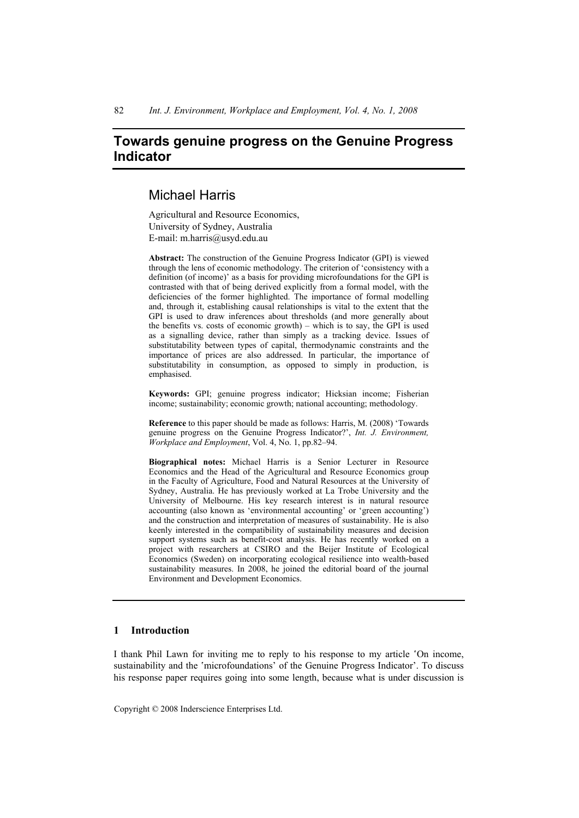# **Towards genuine progress on the Genuine Progress Indicator**

# Michael Harris

Agricultural and Resource Economics, University of Sydney, Australia E-mail: m.harris@usyd.edu.au

**Abstract:** The construction of the Genuine Progress Indicator (GPI) is viewed through the lens of economic methodology. The criterion of 'consistency with a definition (of income)' as a basis for providing microfoundations for the GPI is contrasted with that of being derived explicitly from a formal model, with the deficiencies of the former highlighted. The importance of formal modelling and, through it, establishing causal relationships is vital to the extent that the GPI is used to draw inferences about thresholds (and more generally about the benefits vs. costs of economic growth) – which is to say, the GPI is used as a signalling device, rather than simply as a tracking device. Issues of substitutability between types of capital, thermodynamic constraints and the importance of prices are also addressed. In particular, the importance of substitutability in consumption, as opposed to simply in production, is emphasised.

**Keywords:** GPI; genuine progress indicator; Hicksian income; Fisherian income; sustainability; economic growth; national accounting; methodology.

**Reference** to this paper should be made as follows: Harris, M. (2008) 'Towards genuine progress on the Genuine Progress Indicator?', *Int. J. Environment, Workplace and Employment*, Vol. 4, No. 1, pp.82–94.

**Biographical notes:** Michael Harris is a Senior Lecturer in Resource Economics and the Head of the Agricultural and Resource Economics group in the Faculty of Agriculture, Food and Natural Resources at the University of Sydney, Australia. He has previously worked at La Trobe University and the University of Melbourne. His key research interest is in natural resource accounting (also known as 'environmental accounting' or 'green accounting') and the construction and interpretation of measures of sustainability. He is also keenly interested in the compatibility of sustainability measures and decision support systems such as benefit-cost analysis. He has recently worked on a project with researchers at CSIRO and the Beijer Institute of Ecological Economics (Sweden) on incorporating ecological resilience into wealth-based sustainability measures. In 2008, he joined the editorial board of the journal Environment and Development Economics.

#### **1 Introduction**

I thank Phil Lawn for inviting me to reply to his response to my article 'On income, sustainability and the 'microfoundations' of the Genuine Progress Indicator'. To discuss his response paper requires going into some length, because what is under discussion is

Copyright © 2008 Inderscience Enterprises Ltd.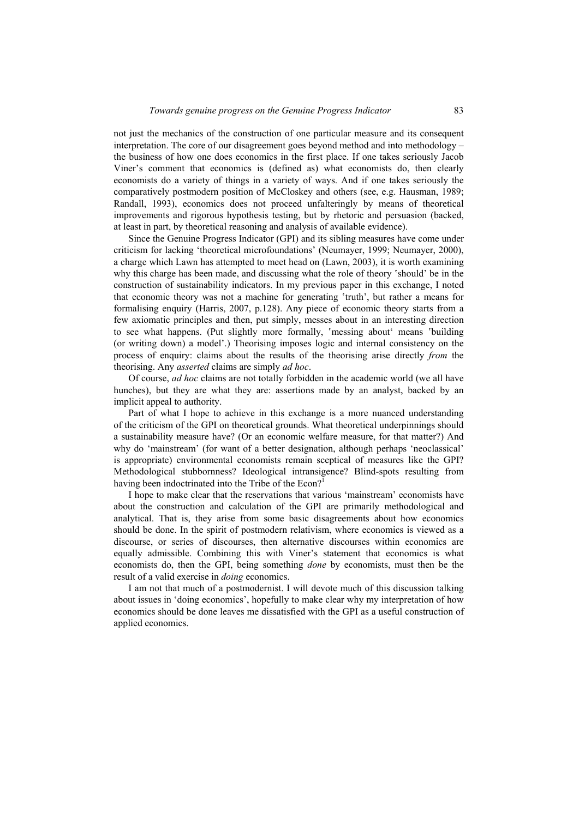not just the mechanics of the construction of one particular measure and its consequent interpretation. The core of our disagreement goes beyond method and into methodology – the business of how one does economics in the first place. If one takes seriously Jacob Viner's comment that economics is (defined as) what economists do, then clearly economists do a variety of things in a variety of ways. And if one takes seriously the comparatively postmodern position of McCloskey and others (see, e.g. Hausman, 1989; Randall, 1993), economics does not proceed unfalteringly by means of theoretical improvements and rigorous hypothesis testing, but by rhetoric and persuasion (backed, at least in part, by theoretical reasoning and analysis of available evidence).

Since the Genuine Progress Indicator (GPI) and its sibling measures have come under criticism for lacking 'theoretical microfoundations' (Neumayer, 1999; Neumayer, 2000), a charge which Lawn has attempted to meet head on (Lawn, 2003), it is worth examining why this charge has been made, and discussing what the role of theory 'should' be in the construction of sustainability indicators. In my previous paper in this exchange, I noted that economic theory was not a machine for generating 'truth', but rather a means for formalising enquiry (Harris, 2007, p.128). Any piece of economic theory starts from a few axiomatic principles and then, put simply, messes about in an interesting direction to see what happens. (Put slightly more formally, 'messing about' means 'building (or writing down) a model'.) Theorising imposes logic and internal consistency on the process of enquiry: claims about the results of the theorising arise directly *from* the theorising. Any *asserted* claims are simply *ad hoc*.

Of course, *ad hoc* claims are not totally forbidden in the academic world (we all have hunches), but they are what they are: assertions made by an analyst, backed by an implicit appeal to authority.

Part of what I hope to achieve in this exchange is a more nuanced understanding of the criticism of the GPI on theoretical grounds. What theoretical underpinnings should a sustainability measure have? (Or an economic welfare measure, for that matter?) And why do 'mainstream' (for want of a better designation, although perhaps 'neoclassical' is appropriate) environmental economists remain sceptical of measures like the GPI? Methodological stubbornness? Ideological intransigence? Blind-spots resulting from having been indoctrinated into the Tribe of the Econ?<sup>1</sup>

I hope to make clear that the reservations that various 'mainstream' economists have about the construction and calculation of the GPI are primarily methodological and analytical. That is, they arise from some basic disagreements about how economics should be done. In the spirit of postmodern relativism, where economics is viewed as a discourse, or series of discourses, then alternative discourses within economics are equally admissible. Combining this with Viner's statement that economics is what economists do, then the GPI, being something *done* by economists, must then be the result of a valid exercise in *doing* economics.

I am not that much of a postmodernist. I will devote much of this discussion talking about issues in 'doing economics', hopefully to make clear why my interpretation of how economics should be done leaves me dissatisfied with the GPI as a useful construction of applied economics.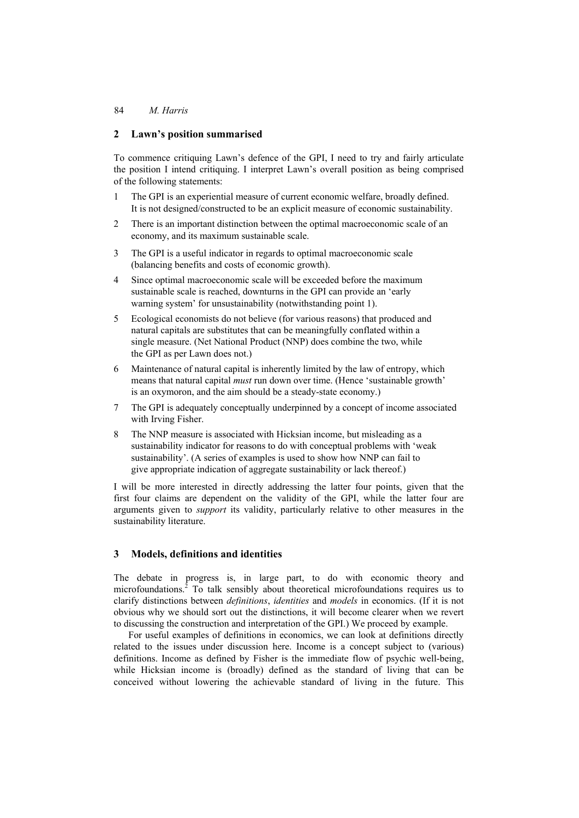#### **2 Lawn's position summarised**

To commence critiquing Lawn's defence of the GPI, I need to try and fairly articulate the position I intend critiquing. I interpret Lawn's overall position as being comprised of the following statements:

- 1 The GPI is an experiential measure of current economic welfare, broadly defined. It is not designed/constructed to be an explicit measure of economic sustainability.
- 2 There is an important distinction between the optimal macroeconomic scale of an economy, and its maximum sustainable scale.
- 3 The GPI is a useful indicator in regards to optimal macroeconomic scale (balancing benefits and costs of economic growth).
- 4 Since optimal macroeconomic scale will be exceeded before the maximum sustainable scale is reached, downturns in the GPI can provide an 'early warning system' for unsustainability (notwithstanding point 1).
- 5 Ecological economists do not believe (for various reasons) that produced and natural capitals are substitutes that can be meaningfully conflated within a single measure. (Net National Product (NNP) does combine the two, while the GPI as per Lawn does not.)
- 6 Maintenance of natural capital is inherently limited by the law of entropy, which means that natural capital *must* run down over time. (Hence 'sustainable growth' is an oxymoron, and the aim should be a steady-state economy.)
- 7 The GPI is adequately conceptually underpinned by a concept of income associated with Irving Fisher.
- 8 The NNP measure is associated with Hicksian income, but misleading as a sustainability indicator for reasons to do with conceptual problems with 'weak sustainability'. (A series of examples is used to show how NNP can fail to give appropriate indication of aggregate sustainability or lack thereof.)

I will be more interested in directly addressing the latter four points, given that the first four claims are dependent on the validity of the GPI, while the latter four are arguments given to *support* its validity, particularly relative to other measures in the sustainability literature.

#### **3 Models, definitions and identities**

The debate in progress is, in large part, to do with economic theory and microfoundations. $2$  To talk sensibly about theoretical microfoundations requires us to clarify distinctions between *definitions*, *identities* and *models* in economics. (If it is not obvious why we should sort out the distinctions, it will become clearer when we revert to discussing the construction and interpretation of the GPI.) We proceed by example.

For useful examples of definitions in economics, we can look at definitions directly related to the issues under discussion here. Income is a concept subject to (various) definitions. Income as defined by Fisher is the immediate flow of psychic well-being, while Hicksian income is (broadly) defined as the standard of living that can be conceived without lowering the achievable standard of living in the future. This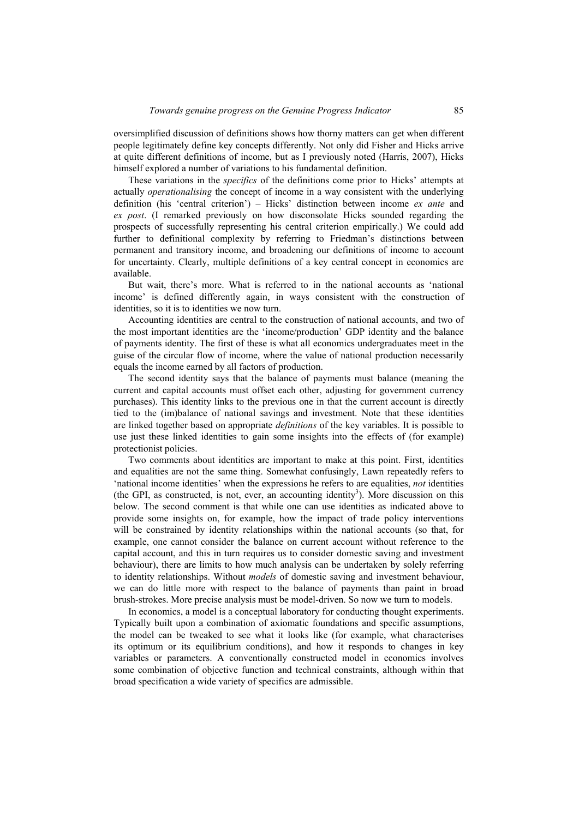oversimplified discussion of definitions shows how thorny matters can get when different people legitimately define key concepts differently. Not only did Fisher and Hicks arrive at quite different definitions of income, but as I previously noted (Harris, 2007), Hicks himself explored a number of variations to his fundamental definition.

These variations in the *specifics* of the definitions come prior to Hicks' attempts at actually *operationalising* the concept of income in a way consistent with the underlying definition (his 'central criterion') – Hicks' distinction between income *ex ante* and *ex post*. (I remarked previously on how disconsolate Hicks sounded regarding the prospects of successfully representing his central criterion empirically.) We could add further to definitional complexity by referring to Friedman's distinctions between permanent and transitory income, and broadening our definitions of income to account for uncertainty. Clearly, multiple definitions of a key central concept in economics are available.

But wait, there's more. What is referred to in the national accounts as 'national income' is defined differently again, in ways consistent with the construction of identities, so it is to identities we now turn.

Accounting identities are central to the construction of national accounts, and two of the most important identities are the 'income/production' GDP identity and the balance of payments identity. The first of these is what all economics undergraduates meet in the guise of the circular flow of income, where the value of national production necessarily equals the income earned by all factors of production.

The second identity says that the balance of payments must balance (meaning the current and capital accounts must offset each other, adjusting for government currency purchases). This identity links to the previous one in that the current account is directly tied to the (im)balance of national savings and investment. Note that these identities are linked together based on appropriate *definitions* of the key variables. It is possible to use just these linked identities to gain some insights into the effects of (for example) protectionist policies.

Two comments about identities are important to make at this point. First, identities and equalities are not the same thing. Somewhat confusingly, Lawn repeatedly refers to 'national income identities' when the expressions he refers to are equalities, *not* identities (the GPI, as constructed, is not, ever, an accounting identity<sup>3</sup>). More discussion on this below. The second comment is that while one can use identities as indicated above to provide some insights on, for example, how the impact of trade policy interventions will be constrained by identity relationships within the national accounts (so that, for example, one cannot consider the balance on current account without reference to the capital account, and this in turn requires us to consider domestic saving and investment behaviour), there are limits to how much analysis can be undertaken by solely referring to identity relationships. Without *models* of domestic saving and investment behaviour, we can do little more with respect to the balance of payments than paint in broad brush-strokes. More precise analysis must be model-driven. So now we turn to models.

In economics, a model is a conceptual laboratory for conducting thought experiments. Typically built upon a combination of axiomatic foundations and specific assumptions, the model can be tweaked to see what it looks like (for example, what characterises its optimum or its equilibrium conditions), and how it responds to changes in key variables or parameters. A conventionally constructed model in economics involves some combination of objective function and technical constraints, although within that broad specification a wide variety of specifics are admissible.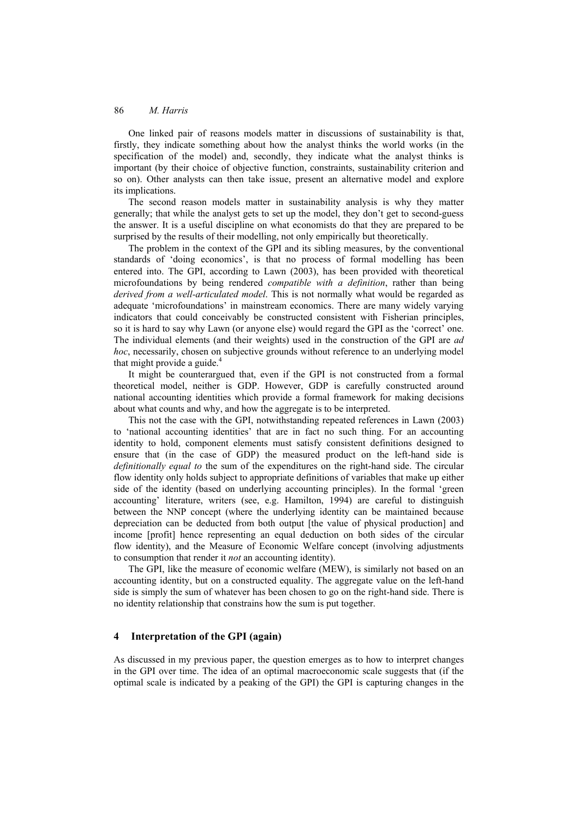One linked pair of reasons models matter in discussions of sustainability is that, firstly, they indicate something about how the analyst thinks the world works (in the specification of the model) and, secondly, they indicate what the analyst thinks is important (by their choice of objective function, constraints, sustainability criterion and so on). Other analysts can then take issue, present an alternative model and explore its implications.

The second reason models matter in sustainability analysis is why they matter generally; that while the analyst gets to set up the model, they don't get to second-guess the answer. It is a useful discipline on what economists do that they are prepared to be surprised by the results of their modelling, not only empirically but theoretically.

The problem in the context of the GPI and its sibling measures, by the conventional standards of 'doing economics', is that no process of formal modelling has been entered into. The GPI, according to Lawn (2003), has been provided with theoretical microfoundations by being rendered *compatible with a definition*, rather than being *derived from a well-articulated model*. This is not normally what would be regarded as adequate 'microfoundations' in mainstream economics. There are many widely varying indicators that could conceivably be constructed consistent with Fisherian principles, so it is hard to say why Lawn (or anyone else) would regard the GPI as the 'correct' one. The individual elements (and their weights) used in the construction of the GPI are *ad hoc*, necessarily, chosen on subjective grounds without reference to an underlying model that might provide a guide.<sup>4</sup>

It might be counterargued that, even if the GPI is not constructed from a formal theoretical model, neither is GDP. However, GDP is carefully constructed around national accounting identities which provide a formal framework for making decisions about what counts and why, and how the aggregate is to be interpreted.

This not the case with the GPI, notwithstanding repeated references in Lawn (2003) to 'national accounting identities' that are in fact no such thing. For an accounting identity to hold, component elements must satisfy consistent definitions designed to ensure that (in the case of GDP) the measured product on the left-hand side is *definitionally equal to* the sum of the expenditures on the right-hand side. The circular flow identity only holds subject to appropriate definitions of variables that make up either side of the identity (based on underlying accounting principles). In the formal 'green accounting' literature, writers (see, e.g. Hamilton, 1994) are careful to distinguish between the NNP concept (where the underlying identity can be maintained because depreciation can be deducted from both output [the value of physical production] and income [profit] hence representing an equal deduction on both sides of the circular flow identity), and the Measure of Economic Welfare concept (involving adjustments to consumption that render it *not* an accounting identity).

The GPI, like the measure of economic welfare (MEW), is similarly not based on an accounting identity, but on a constructed equality. The aggregate value on the left-hand side is simply the sum of whatever has been chosen to go on the right-hand side. There is no identity relationship that constrains how the sum is put together.

# **4 Interpretation of the GPI (again)**

As discussed in my previous paper, the question emerges as to how to interpret changes in the GPI over time. The idea of an optimal macroeconomic scale suggests that (if the optimal scale is indicated by a peaking of the GPI) the GPI is capturing changes in the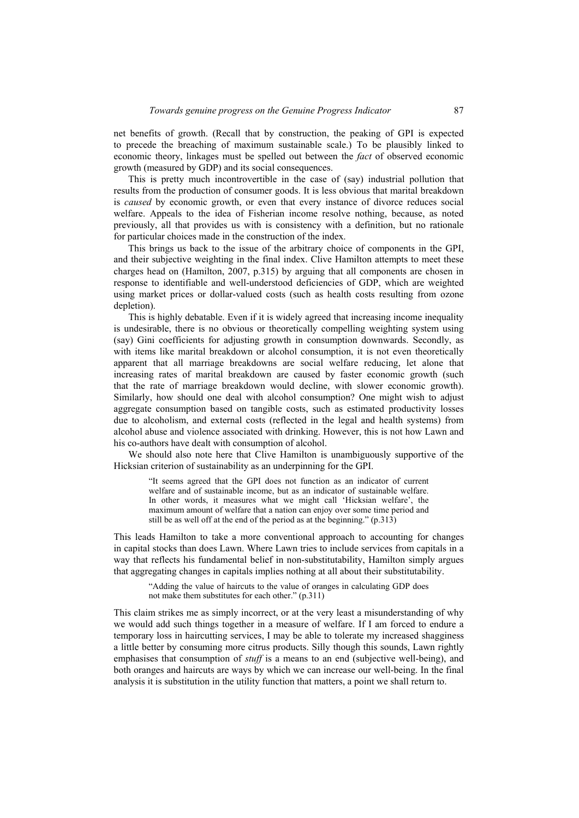net benefits of growth. (Recall that by construction, the peaking of GPI is expected to precede the breaching of maximum sustainable scale.) To be plausibly linked to economic theory, linkages must be spelled out between the *fact* of observed economic growth (measured by GDP) and its social consequences.

This is pretty much incontrovertible in the case of (say) industrial pollution that results from the production of consumer goods. It is less obvious that marital breakdown is *caused* by economic growth, or even that every instance of divorce reduces social welfare. Appeals to the idea of Fisherian income resolve nothing, because, as noted previously, all that provides us with is consistency with a definition, but no rationale for particular choices made in the construction of the index.

This brings us back to the issue of the arbitrary choice of components in the GPI, and their subjective weighting in the final index. Clive Hamilton attempts to meet these charges head on (Hamilton, 2007, p.315) by arguing that all components are chosen in response to identifiable and well-understood deficiencies of GDP, which are weighted using market prices or dollar-valued costs (such as health costs resulting from ozone depletion).

This is highly debatable. Even if it is widely agreed that increasing income inequality is undesirable, there is no obvious or theoretically compelling weighting system using (say) Gini coefficients for adjusting growth in consumption downwards. Secondly, as with items like marital breakdown or alcohol consumption, it is not even theoretically apparent that all marriage breakdowns are social welfare reducing, let alone that increasing rates of marital breakdown are caused by faster economic growth (such that the rate of marriage breakdown would decline, with slower economic growth). Similarly, how should one deal with alcohol consumption? One might wish to adjust aggregate consumption based on tangible costs, such as estimated productivity losses due to alcoholism, and external costs (reflected in the legal and health systems) from alcohol abuse and violence associated with drinking. However, this is not how Lawn and his co-authors have dealt with consumption of alcohol.

We should also note here that Clive Hamilton is unambiguously supportive of the Hicksian criterion of sustainability as an underpinning for the GPI.

"It seems agreed that the GPI does not function as an indicator of current welfare and of sustainable income, but as an indicator of sustainable welfare. In other words, it measures what we might call 'Hicksian welfare', the maximum amount of welfare that a nation can enjoy over some time period and still be as well off at the end of the period as at the beginning." (p.313)

This leads Hamilton to take a more conventional approach to accounting for changes in capital stocks than does Lawn. Where Lawn tries to include services from capitals in a way that reflects his fundamental belief in non-substitutability, Hamilton simply argues that aggregating changes in capitals implies nothing at all about their substitutability.

"Adding the value of haircuts to the value of oranges in calculating GDP does not make them substitutes for each other." (p.311)

This claim strikes me as simply incorrect, or at the very least a misunderstanding of why we would add such things together in a measure of welfare. If I am forced to endure a temporary loss in haircutting services, I may be able to tolerate my increased shagginess a little better by consuming more citrus products. Silly though this sounds, Lawn rightly emphasises that consumption of *stuff* is a means to an end (subjective well-being), and both oranges and haircuts are ways by which we can increase our well-being. In the final analysis it is substitution in the utility function that matters, a point we shall return to.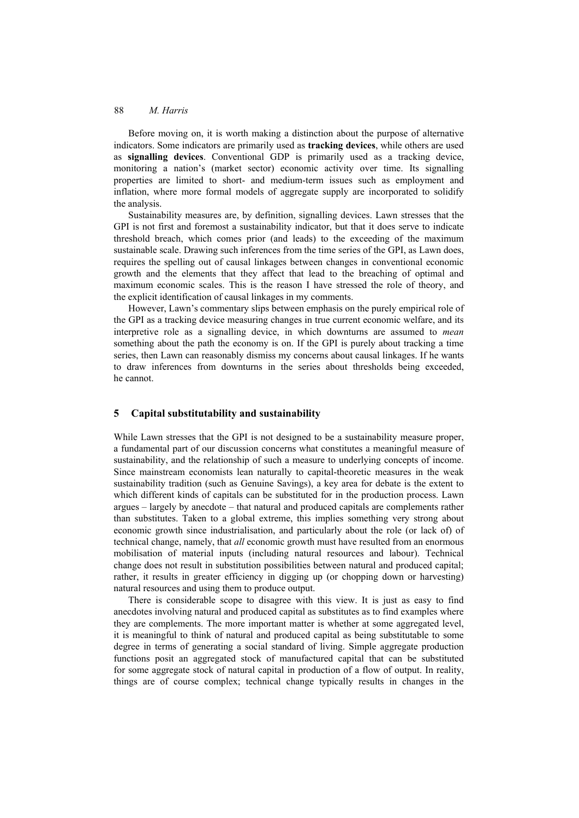Before moving on, it is worth making a distinction about the purpose of alternative indicators. Some indicators are primarily used as **tracking devices**, while others are used as **signalling devices**. Conventional GDP is primarily used as a tracking device, monitoring a nation's (market sector) economic activity over time. Its signalling properties are limited to short- and medium-term issues such as employment and inflation, where more formal models of aggregate supply are incorporated to solidify the analysis.

Sustainability measures are, by definition, signalling devices. Lawn stresses that the GPI is not first and foremost a sustainability indicator, but that it does serve to indicate threshold breach, which comes prior (and leads) to the exceeding of the maximum sustainable scale. Drawing such inferences from the time series of the GPI, as Lawn does, requires the spelling out of causal linkages between changes in conventional economic growth and the elements that they affect that lead to the breaching of optimal and maximum economic scales. This is the reason I have stressed the role of theory, and the explicit identification of causal linkages in my comments.

However, Lawn's commentary slips between emphasis on the purely empirical role of the GPI as a tracking device measuring changes in true current economic welfare, and its interpretive role as a signalling device, in which downturns are assumed to *mean* something about the path the economy is on. If the GPI is purely about tracking a time series, then Lawn can reasonably dismiss my concerns about causal linkages. If he wants to draw inferences from downturns in the series about thresholds being exceeded, he cannot.

# **5 Capital substitutability and sustainability**

While Lawn stresses that the GPI is not designed to be a sustainability measure proper, a fundamental part of our discussion concerns what constitutes a meaningful measure of sustainability, and the relationship of such a measure to underlying concepts of income. Since mainstream economists lean naturally to capital-theoretic measures in the weak sustainability tradition (such as Genuine Savings), a key area for debate is the extent to which different kinds of capitals can be substituted for in the production process. Lawn argues – largely by anecdote – that natural and produced capitals are complements rather than substitutes. Taken to a global extreme, this implies something very strong about economic growth since industrialisation, and particularly about the role (or lack of) of technical change, namely, that *all* economic growth must have resulted from an enormous mobilisation of material inputs (including natural resources and labour). Technical change does not result in substitution possibilities between natural and produced capital; rather, it results in greater efficiency in digging up (or chopping down or harvesting) natural resources and using them to produce output.

There is considerable scope to disagree with this view. It is just as easy to find anecdotes involving natural and produced capital as substitutes as to find examples where they are complements. The more important matter is whether at some aggregated level, it is meaningful to think of natural and produced capital as being substitutable to some degree in terms of generating a social standard of living. Simple aggregate production functions posit an aggregated stock of manufactured capital that can be substituted for some aggregate stock of natural capital in production of a flow of output. In reality, things are of course complex; technical change typically results in changes in the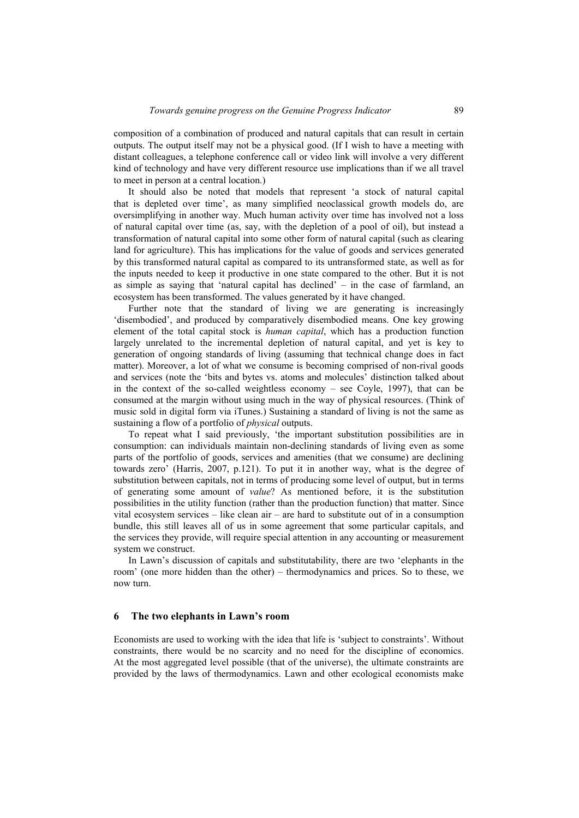composition of a combination of produced and natural capitals that can result in certain outputs. The output itself may not be a physical good. (If I wish to have a meeting with distant colleagues, a telephone conference call or video link will involve a very different kind of technology and have very different resource use implications than if we all travel to meet in person at a central location.)

It should also be noted that models that represent 'a stock of natural capital that is depleted over time', as many simplified neoclassical growth models do, are oversimplifying in another way. Much human activity over time has involved not a loss of natural capital over time (as, say, with the depletion of a pool of oil), but instead a transformation of natural capital into some other form of natural capital (such as clearing land for agriculture). This has implications for the value of goods and services generated by this transformed natural capital as compared to its untransformed state, as well as for the inputs needed to keep it productive in one state compared to the other. But it is not as simple as saying that 'natural capital has declined' – in the case of farmland, an ecosystem has been transformed. The values generated by it have changed.

Further note that the standard of living we are generating is increasingly 'disembodied', and produced by comparatively disembodied means. One key growing element of the total capital stock is *human capital*, which has a production function largely unrelated to the incremental depletion of natural capital, and yet is key to generation of ongoing standards of living (assuming that technical change does in fact matter). Moreover, a lot of what we consume is becoming comprised of non-rival goods and services (note the 'bits and bytes vs. atoms and molecules' distinction talked about in the context of the so-called weightless economy – see Coyle, 1997), that can be consumed at the margin without using much in the way of physical resources. (Think of music sold in digital form via iTunes.) Sustaining a standard of living is not the same as sustaining a flow of a portfolio of *physical* outputs.

To repeat what I said previously, 'the important substitution possibilities are in consumption: can individuals maintain non-declining standards of living even as some parts of the portfolio of goods, services and amenities (that we consume) are declining towards zero' (Harris, 2007, p.121). To put it in another way, what is the degree of substitution between capitals, not in terms of producing some level of output, but in terms of generating some amount of *value*? As mentioned before, it is the substitution possibilities in the utility function (rather than the production function) that matter. Since vital ecosystem services – like clean air – are hard to substitute out of in a consumption bundle, this still leaves all of us in some agreement that some particular capitals, and the services they provide, will require special attention in any accounting or measurement system we construct.

In Lawn's discussion of capitals and substitutability, there are two 'elephants in the room' (one more hidden than the other) – thermodynamics and prices. So to these, we now turn.

#### **6 The two elephants in Lawn's room**

Economists are used to working with the idea that life is 'subject to constraints'. Without constraints, there would be no scarcity and no need for the discipline of economics. At the most aggregated level possible (that of the universe), the ultimate constraints are provided by the laws of thermodynamics. Lawn and other ecological economists make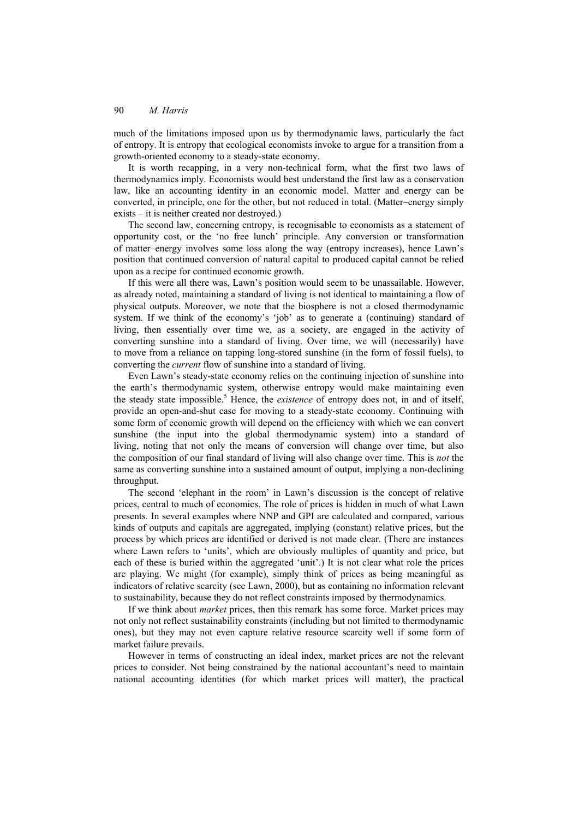much of the limitations imposed upon us by thermodynamic laws, particularly the fact of entropy. It is entropy that ecological economists invoke to argue for a transition from a growth-oriented economy to a steady-state economy.

It is worth recapping, in a very non-technical form, what the first two laws of thermodynamics imply. Economists would best understand the first law as a conservation law, like an accounting identity in an economic model. Matter and energy can be converted, in principle, one for the other, but not reduced in total. (Matter–energy simply exists – it is neither created nor destroyed.)

The second law, concerning entropy, is recognisable to economists as a statement of opportunity cost, or the 'no free lunch' principle. Any conversion or transformation of matter–energy involves some loss along the way (entropy increases), hence Lawn's position that continued conversion of natural capital to produced capital cannot be relied upon as a recipe for continued economic growth.

If this were all there was, Lawn's position would seem to be unassailable. However, as already noted, maintaining a standard of living is not identical to maintaining a flow of physical outputs. Moreover, we note that the biosphere is not a closed thermodynamic system. If we think of the economy's 'job' as to generate a (continuing) standard of living, then essentially over time we, as a society, are engaged in the activity of converting sunshine into a standard of living. Over time, we will (necessarily) have to move from a reliance on tapping long-stored sunshine (in the form of fossil fuels), to converting the *current* flow of sunshine into a standard of living.

Even Lawn's steady-state economy relies on the continuing injection of sunshine into the earth's thermodynamic system, otherwise entropy would make maintaining even the steady state impossible.<sup>5</sup> Hence, the *existence* of entropy does not, in and of itself, provide an open-and-shut case for moving to a steady-state economy. Continuing with some form of economic growth will depend on the efficiency with which we can convert sunshine (the input into the global thermodynamic system) into a standard of living, noting that not only the means of conversion will change over time, but also the composition of our final standard of living will also change over time. This is *not* the same as converting sunshine into a sustained amount of output, implying a non-declining throughput.

The second 'elephant in the room' in Lawn's discussion is the concept of relative prices, central to much of economics. The role of prices is hidden in much of what Lawn presents. In several examples where NNP and GPI are calculated and compared, various kinds of outputs and capitals are aggregated, implying (constant) relative prices, but the process by which prices are identified or derived is not made clear. (There are instances where Lawn refers to 'units', which are obviously multiples of quantity and price, but each of these is buried within the aggregated 'unit'.) It is not clear what role the prices are playing. We might (for example), simply think of prices as being meaningful as indicators of relative scarcity (see Lawn, 2000), but as containing no information relevant to sustainability, because they do not reflect constraints imposed by thermodynamics.

If we think about *market* prices, then this remark has some force. Market prices may not only not reflect sustainability constraints (including but not limited to thermodynamic ones), but they may not even capture relative resource scarcity well if some form of market failure prevails.

However in terms of constructing an ideal index, market prices are not the relevant prices to consider. Not being constrained by the national accountant's need to maintain national accounting identities (for which market prices will matter), the practical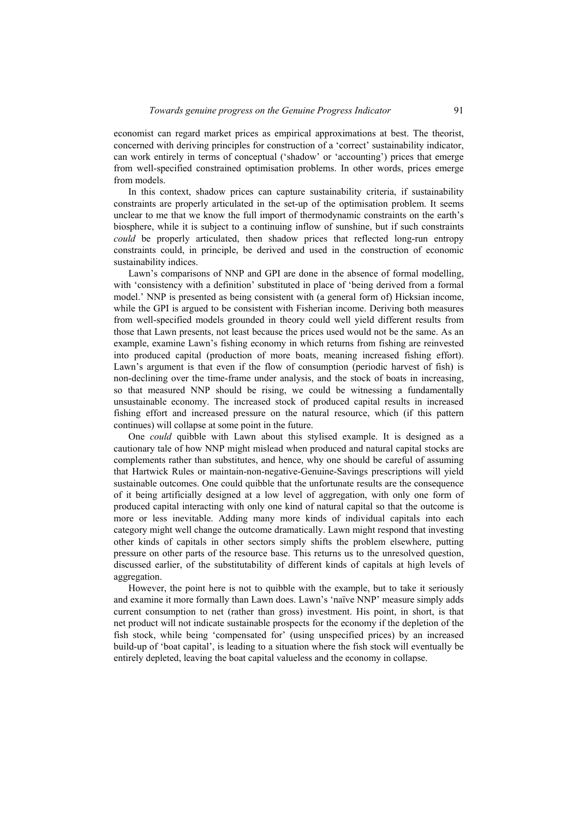economist can regard market prices as empirical approximations at best. The theorist, concerned with deriving principles for construction of a 'correct' sustainability indicator, can work entirely in terms of conceptual ('shadow' or 'accounting') prices that emerge from well-specified constrained optimisation problems. In other words, prices emerge from models.

In this context, shadow prices can capture sustainability criteria, if sustainability constraints are properly articulated in the set-up of the optimisation problem. It seems unclear to me that we know the full import of thermodynamic constraints on the earth's biosphere, while it is subject to a continuing inflow of sunshine, but if such constraints *could* be properly articulated, then shadow prices that reflected long-run entropy constraints could, in principle, be derived and used in the construction of economic sustainability indices.

Lawn's comparisons of NNP and GPI are done in the absence of formal modelling, with 'consistency with a definition' substituted in place of 'being derived from a formal model.' NNP is presented as being consistent with (a general form of) Hicksian income, while the GPI is argued to be consistent with Fisherian income. Deriving both measures from well-specified models grounded in theory could well yield different results from those that Lawn presents, not least because the prices used would not be the same. As an example, examine Lawn's fishing economy in which returns from fishing are reinvested into produced capital (production of more boats, meaning increased fishing effort). Lawn's argument is that even if the flow of consumption (periodic harvest of fish) is non-declining over the time-frame under analysis, and the stock of boats in increasing, so that measured NNP should be rising, we could be witnessing a fundamentally unsustainable economy. The increased stock of produced capital results in increased fishing effort and increased pressure on the natural resource, which (if this pattern continues) will collapse at some point in the future.

One *could* quibble with Lawn about this stylised example. It is designed as a cautionary tale of how NNP might mislead when produced and natural capital stocks are complements rather than substitutes, and hence, why one should be careful of assuming that Hartwick Rules or maintain-non-negative-Genuine-Savings prescriptions will yield sustainable outcomes. One could quibble that the unfortunate results are the consequence of it being artificially designed at a low level of aggregation, with only one form of produced capital interacting with only one kind of natural capital so that the outcome is more or less inevitable. Adding many more kinds of individual capitals into each category might well change the outcome dramatically. Lawn might respond that investing other kinds of capitals in other sectors simply shifts the problem elsewhere, putting pressure on other parts of the resource base. This returns us to the unresolved question, discussed earlier, of the substitutability of different kinds of capitals at high levels of aggregation.

However, the point here is not to quibble with the example, but to take it seriously and examine it more formally than Lawn does. Lawn's 'naïve NNP' measure simply adds current consumption to net (rather than gross) investment. His point, in short, is that net product will not indicate sustainable prospects for the economy if the depletion of the fish stock, while being 'compensated for' (using unspecified prices) by an increased build-up of 'boat capital', is leading to a situation where the fish stock will eventually be entirely depleted, leaving the boat capital valueless and the economy in collapse.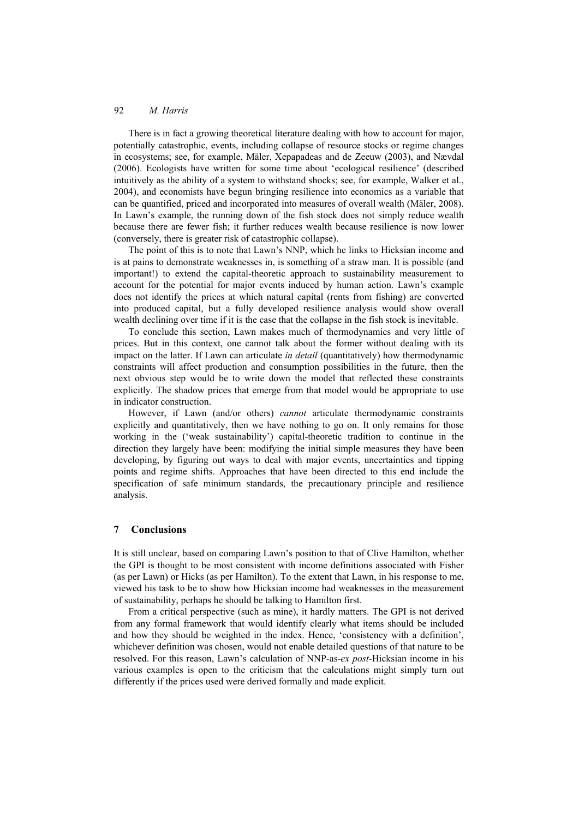There is in fact a growing theoretical literature dealing with how to account for major, potentially catastrophic, events, including collapse of resource stocks or regime changes in ecosystems; see, for example, Mäler, Xepapadeas and de Zeeuw (2003), and Nævdal (2006). Ecologists have written for some time about 'ecological resilience' (described intuitively as the ability of a system to withstand shocks; see, for example, Walker et al., 2004), and economists have begun bringing resilience into economics as a variable that can be quantified, priced and incorporated into measures of overall wealth (Mäler, 2008). In Lawn's example, the running down of the fish stock does not simply reduce wealth because there are fewer fish; it further reduces wealth because resilience is now lower (conversely, there is greater risk of catastrophic collapse).

The point of this is to note that Lawn's NNP, which he links to Hicksian income and is at pains to demonstrate weaknesses in, is something of a straw man. It is possible (and important!) to extend the capital-theoretic approach to sustainability measurement to account for the potential for major events induced by human action. Lawn's example does not identify the prices at which natural capital (rents from fishing) are converted into produced capital, but a fully developed resilience analysis would show overall wealth declining over time if it is the case that the collapse in the fish stock is inevitable.

To conclude this section, Lawn makes much of thermodynamics and very little of prices. But in this context, one cannot talk about the former without dealing with its impact on the latter. If Lawn can articulate *in detail* (quantitatively) how thermodynamic constraints will affect production and consumption possibilities in the future, then the next obvious step would be to write down the model that reflected these constraints explicitly. The shadow prices that emerge from that model would be appropriate to use in indicator construction.

However, if Lawn (and/or others) *cannot* articulate thermodynamic constraints explicitly and quantitatively, then we have nothing to go on. It only remains for those working in the ('weak sustainability') capital-theoretic tradition to continue in the direction they largely have been: modifying the initial simple measures they have been developing, by figuring out ways to deal with major events, uncertainties and tipping points and regime shifts. Approaches that have been directed to this end include the specification of safe minimum standards, the precautionary principle and resilience analysis.

#### **7 Conclusions**

It is still unclear, based on comparing Lawn's position to that of Clive Hamilton, whether the GPI is thought to be most consistent with income definitions associated with Fisher (as per Lawn) or Hicks (as per Hamilton). To the extent that Lawn, in his response to me, viewed his task to be to show how Hicksian income had weaknesses in the measurement of sustainability, perhaps he should be talking to Hamilton first.

From a critical perspective (such as mine), it hardly matters. The GPI is not derived from any formal framework that would identify clearly what items should be included and how they should be weighted in the index. Hence, 'consistency with a definition', whichever definition was chosen, would not enable detailed questions of that nature to be resolved. For this reason, Lawn's calculation of NNP-as-*ex post*-Hicksian income in his various examples is open to the criticism that the calculations might simply turn out differently if the prices used were derived formally and made explicit.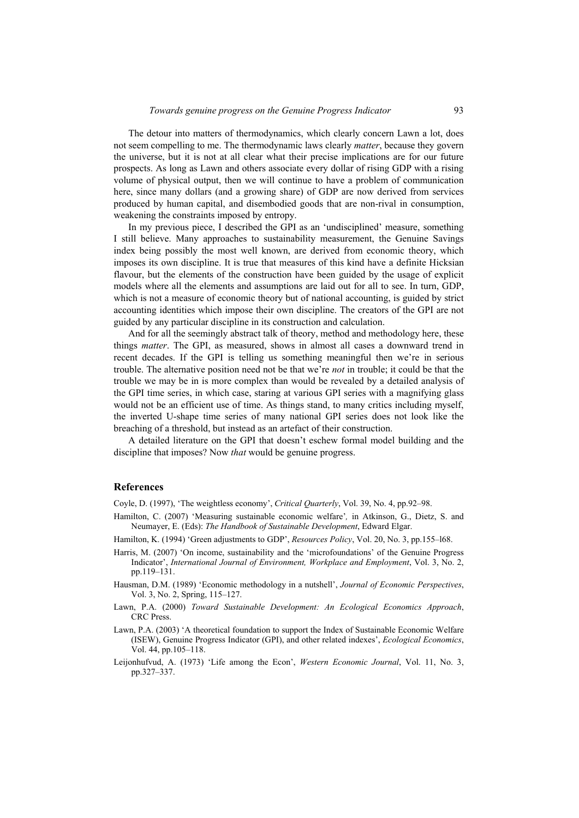The detour into matters of thermodynamics, which clearly concern Lawn a lot, does not seem compelling to me. The thermodynamic laws clearly *matter*, because they govern the universe, but it is not at all clear what their precise implications are for our future prospects. As long as Lawn and others associate every dollar of rising GDP with a rising volume of physical output, then we will continue to have a problem of communication here, since many dollars (and a growing share) of GDP are now derived from services produced by human capital, and disembodied goods that are non-rival in consumption, weakening the constraints imposed by entropy.

In my previous piece, I described the GPI as an 'undisciplined' measure, something I still believe. Many approaches to sustainability measurement, the Genuine Savings index being possibly the most well known, are derived from economic theory, which imposes its own discipline. It is true that measures of this kind have a definite Hicksian flavour, but the elements of the construction have been guided by the usage of explicit models where all the elements and assumptions are laid out for all to see. In turn, GDP, which is not a measure of economic theory but of national accounting, is guided by strict accounting identities which impose their own discipline. The creators of the GPI are not guided by any particular discipline in its construction and calculation.

And for all the seemingly abstract talk of theory, method and methodology here, these things *matter*. The GPI, as measured, shows in almost all cases a downward trend in recent decades. If the GPI is telling us something meaningful then we're in serious trouble. The alternative position need not be that we're *not* in trouble; it could be that the trouble we may be in is more complex than would be revealed by a detailed analysis of the GPI time series, in which case, staring at various GPI series with a magnifying glass would not be an efficient use of time. As things stand, to many critics including myself, the inverted U-shape time series of many national GPI series does not look like the breaching of a threshold, but instead as an artefact of their construction.

A detailed literature on the GPI that doesn't eschew formal model building and the discipline that imposes? Now *that* would be genuine progress.

#### **References**

Coyle, D. (1997), 'The weightless economy', *Critical Quarterly*, Vol. 39, No. 4, pp.92–98.

- Hamilton, C. (2007) 'Measuring sustainable economic welfare'*,* in Atkinson, G., Dietz, S. and Neumayer, E. (Eds): *The Handbook of Sustainable Development*, Edward Elgar.
- Hamilton, K. (1994) 'Green adjustments to GDP', *Resources Policy*, Vol. 20, No. 3, pp.155–l68.
- Harris, M. (2007) 'On income, sustainability and the 'microfoundations' of the Genuine Progress Indicator', *International Journal of Environment, Workplace and Employment*, Vol. 3, No. 2, pp.119–131.
- Hausman, D.M. (1989) 'Economic methodology in a nutshell', *Journal of Economic Perspectives*, Vol. 3, No. 2, Spring, 115–127.
- Lawn, P.A. (2000) *Toward Sustainable Development: An Ecological Economics Approach*, CRC Press.
- Lawn, P.A. (2003) 'A theoretical foundation to support the Index of Sustainable Economic Welfare (ISEW), Genuine Progress Indicator (GPI), and other related indexes', *Ecological Economics*, Vol. 44, pp.105–118.
- Leijonhufvud, A. (1973) 'Life among the Econ', *Western Economic Journal*, Vol. 11, No. 3, pp.327–337.